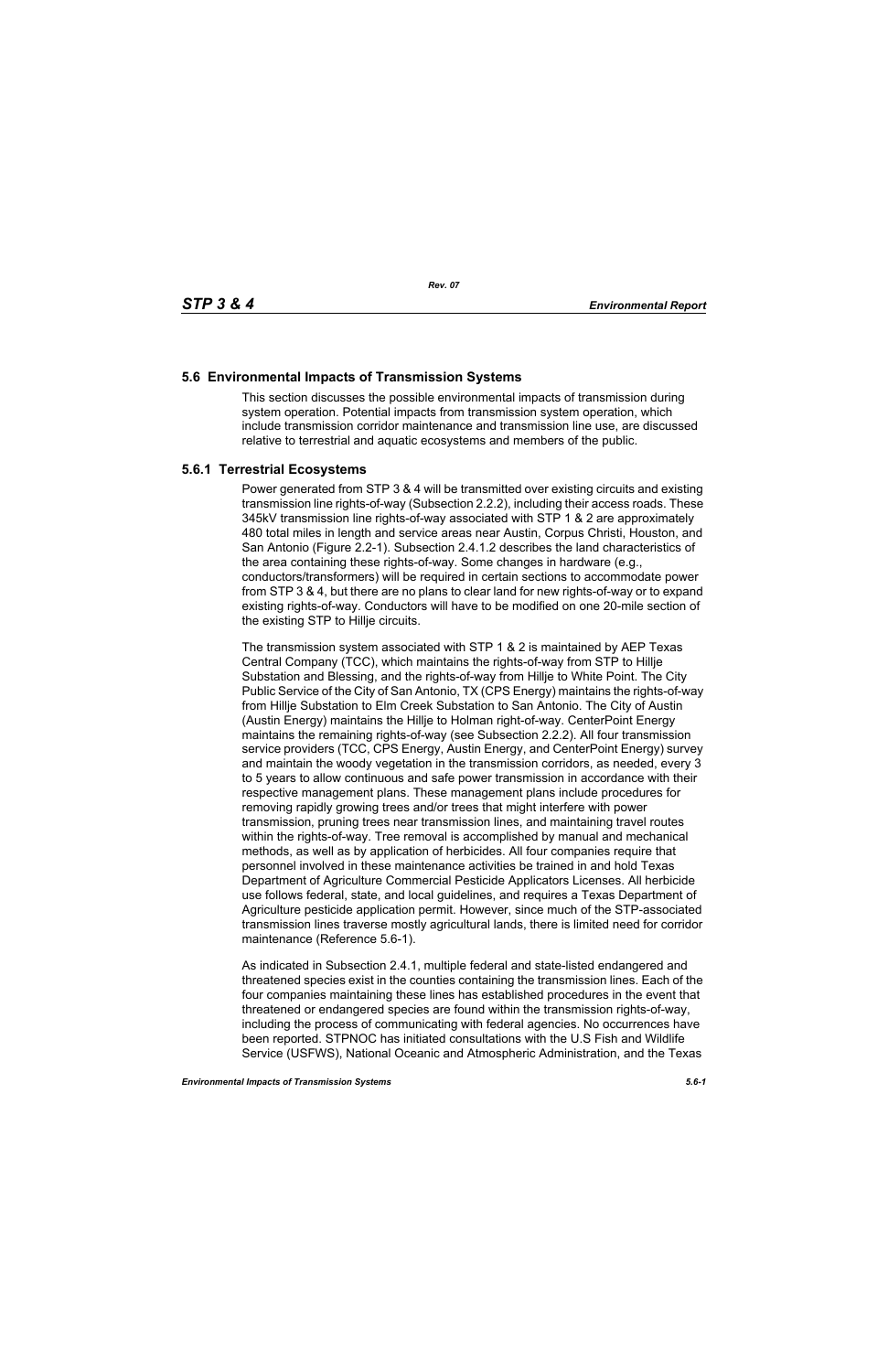# **5.6 Environmental Impacts of Transmission Systems**

This section discusses the possible environmental impacts of transmission during system operation. Potential impacts from transmission system operation, which include transmission corridor maintenance and transmission line use, are discussed relative to terrestrial and aquatic ecosystems and members of the public.

# **5.6.1 Terrestrial Ecosystems**

Power generated from STP 3 & 4 will be transmitted over existing circuits and existing transmission line rights-of-way (Subsection 2.2.2), including their access roads. These 345kV transmission line rights-of-way associated with STP 1 & 2 are approximately 480 total miles in length and service areas near Austin, Corpus Christi, Houston, and San Antonio (Figure 2.2-1). Subsection 2.4.1.2 describes the land characteristics of the area containing these rights-of-way. Some changes in hardware (e.g., conductors/transformers) will be required in certain sections to accommodate power from STP 3 & 4, but there are no plans to clear land for new rights-of-way or to expand existing rights-of-way. Conductors will have to be modified on one 20-mile section of the existing STP to Hillje circuits.

The transmission system associated with STP 1 & 2 is maintained by AEP Texas Central Company (TCC), which maintains the rights-of-way from STP to Hillje Substation and Blessing, and the rights-of-way from Hillje to White Point. The City Public Service of the City of San Antonio, TX (CPS Energy) maintains the rights-of-way from Hillje Substation to Elm Creek Substation to San Antonio. The City of Austin (Austin Energy) maintains the Hillje to Holman right-of-way. CenterPoint Energy maintains the remaining rights-of-way (see Subsection 2.2.2). All four transmission service providers (TCC, CPS Energy, Austin Energy, and CenterPoint Energy) survey and maintain the woody vegetation in the transmission corridors, as needed, every 3 to 5 years to allow continuous and safe power transmission in accordance with their respective management plans. These management plans include procedures for removing rapidly growing trees and/or trees that might interfere with power transmission, pruning trees near transmission lines, and maintaining travel routes within the rights-of-way. Tree removal is accomplished by manual and mechanical methods, as well as by application of herbicides. All four companies require that personnel involved in these maintenance activities be trained in and hold Texas Department of Agriculture Commercial Pesticide Applicators Licenses. All herbicide use follows federal, state, and local guidelines, and requires a Texas Department of Agriculture pesticide application permit. However, since much of the STP-associated transmission lines traverse mostly agricultural lands, there is limited need for corridor maintenance (Reference 5.6-1).

As indicated in Subsection 2.4.1, multiple federal and state-listed endangered and threatened species exist in the counties containing the transmission lines. Each of the four companies maintaining these lines has established procedures in the event that threatened or endangered species are found within the transmission rights-of-way, including the process of communicating with federal agencies. No occurrences have been reported. STPNOC has initiated consultations with the U.S Fish and Wildlife Service (USFWS), National Oceanic and Atmospheric Administration, and the Texas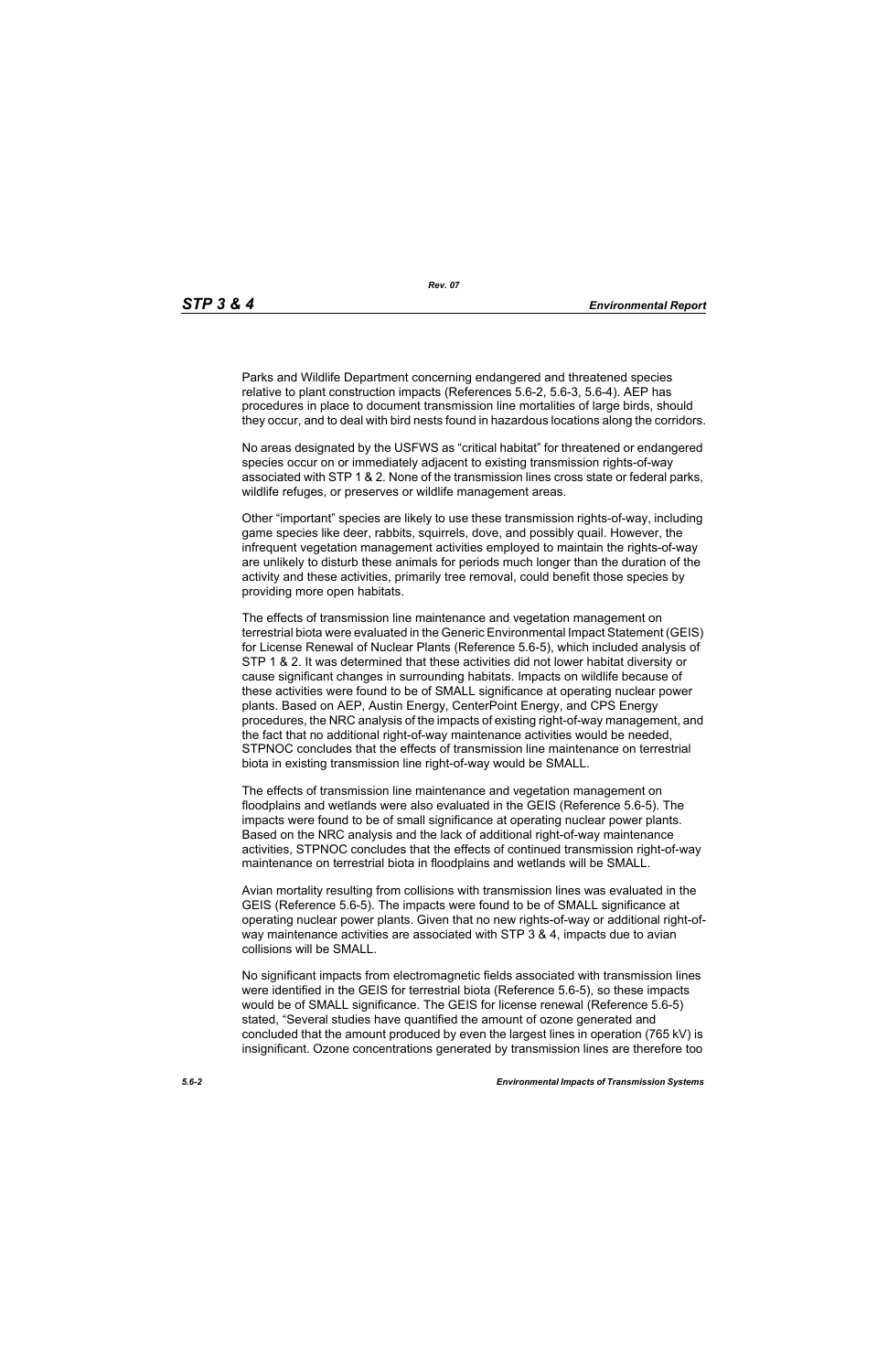Parks and Wildlife Department concerning endangered and threatened species relative to plant construction impacts (References 5.6-2, 5.6-3, 5.6-4). AEP has procedures in place to document transmission line mortalities of large birds, should they occur, and to deal with bird nests found in hazardous locations along the corridors.

No areas designated by the USFWS as "critical habitat" for threatened or endangered species occur on or immediately adjacent to existing transmission rights-of-way associated with STP 1 & 2. None of the transmission lines cross state or federal parks, wildlife refuges, or preserves or wildlife management areas.

Other "important" species are likely to use these transmission rights-of-way, including game species like deer, rabbits, squirrels, dove, and possibly quail. However, the infrequent vegetation management activities employed to maintain the rights-of-way are unlikely to disturb these animals for periods much longer than the duration of the activity and these activities, primarily tree removal, could benefit those species by providing more open habitats.

The effects of transmission line maintenance and vegetation management on terrestrial biota were evaluated in the Generic Environmental Impact Statement (GEIS) for License Renewal of Nuclear Plants (Reference 5.6-5), which included analysis of STP 1 & 2. It was determined that these activities did not lower habitat diversity or cause significant changes in surrounding habitats. Impacts on wildlife because of these activities were found to be of SMALL significance at operating nuclear power plants. Based on AEP, Austin Energy, CenterPoint Energy, and CPS Energy procedures, the NRC analysis of the impacts of existing right-of-way management, and the fact that no additional right-of-way maintenance activities would be needed, STPNOC concludes that the effects of transmission line maintenance on terrestrial biota in existing transmission line right-of-way would be SMALL.

The effects of transmission line maintenance and vegetation management on floodplains and wetlands were also evaluated in the GEIS (Reference 5.6-5). The impacts were found to be of small significance at operating nuclear power plants. Based on the NRC analysis and the lack of additional right-of-way maintenance activities, STPNOC concludes that the effects of continued transmission right-of-way maintenance on terrestrial biota in floodplains and wetlands will be SMALL.

Avian mortality resulting from collisions with transmission lines was evaluated in the GEIS (Reference 5.6-5). The impacts were found to be of SMALL significance at operating nuclear power plants. Given that no new rights-of-way or additional right-ofway maintenance activities are associated with STP 3 & 4, impacts due to avian collisions will be SMALL.

No significant impacts from electromagnetic fields associated with transmission lines were identified in the GEIS for terrestrial biota (Reference 5.6-5), so these impacts would be of SMALL significance. The GEIS for license renewal (Reference 5.6-5) stated, "Several studies have quantified the amount of ozone generated and concluded that the amount produced by even the largest lines in operation (765 kV) is insignificant. Ozone concentrations generated by transmission lines are therefore too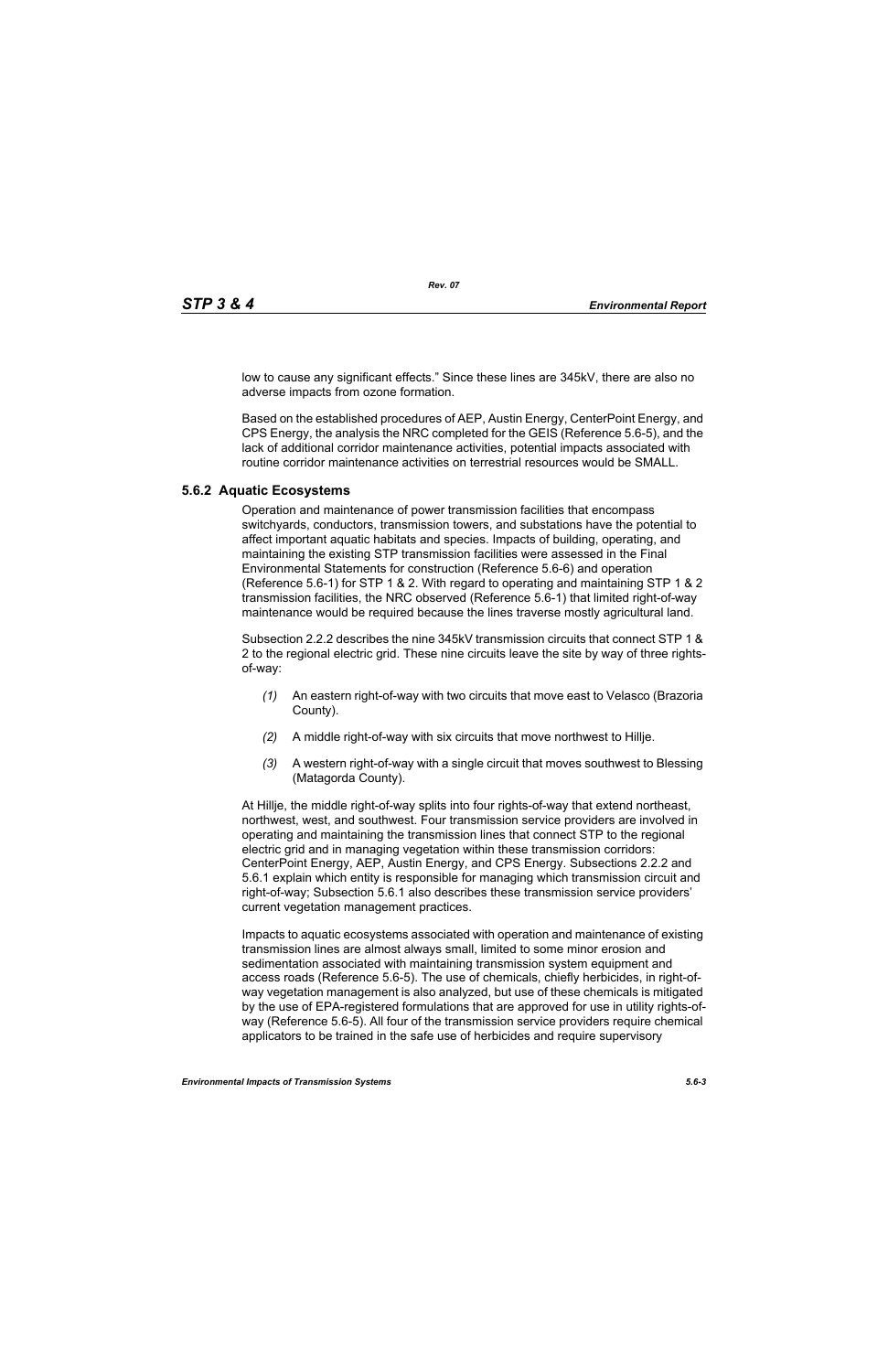low to cause any significant effects." Since these lines are 345kV, there are also no adverse impacts from ozone formation.

Based on the established procedures of AEP, Austin Energy, CenterPoint Energy, and CPS Energy, the analysis the NRC completed for the GEIS (Reference 5.6-5), and the lack of additional corridor maintenance activities, potential impacts associated with routine corridor maintenance activities on terrestrial resources would be SMALL.

#### **5.6.2 Aquatic Ecosystems**

Operation and maintenance of power transmission facilities that encompass switchyards, conductors, transmission towers, and substations have the potential to affect important aquatic habitats and species. Impacts of building, operating, and maintaining the existing STP transmission facilities were assessed in the Final Environmental Statements for construction (Reference 5.6-6) and operation (Reference 5.6-1) for STP 1 & 2. With regard to operating and maintaining STP 1 & 2 transmission facilities, the NRC observed (Reference 5.6-1) that limited right-of-way maintenance would be required because the lines traverse mostly agricultural land.

Subsection 2.2.2 describes the nine 345kV transmission circuits that connect STP 1 & 2 to the regional electric grid. These nine circuits leave the site by way of three rightsof-way:

- *(1)* An eastern right-of-way with two circuits that move east to Velasco (Brazoria County).
- *(2)* A middle right-of-way with six circuits that move northwest to Hillje.
- *(3)* A western right-of-way with a single circuit that moves southwest to Blessing (Matagorda County).

At Hillje, the middle right-of-way splits into four rights-of-way that extend northeast, northwest, west, and southwest. Four transmission service providers are involved in operating and maintaining the transmission lines that connect STP to the regional electric grid and in managing vegetation within these transmission corridors: CenterPoint Energy, AEP, Austin Energy, and CPS Energy. Subsections 2.2.2 and 5.6.1 explain which entity is responsible for managing which transmission circuit and right-of-way; Subsection 5.6.1 also describes these transmission service providers' current vegetation management practices.

Impacts to aquatic ecosystems associated with operation and maintenance of existing transmission lines are almost always small, limited to some minor erosion and sedimentation associated with maintaining transmission system equipment and access roads (Reference 5.6-5). The use of chemicals, chiefly herbicides, in right-ofway vegetation management is also analyzed, but use of these chemicals is mitigated by the use of EPA-registered formulations that are approved for use in utility rights-ofway (Reference 5.6-5). All four of the transmission service providers require chemical applicators to be trained in the safe use of herbicides and require supervisory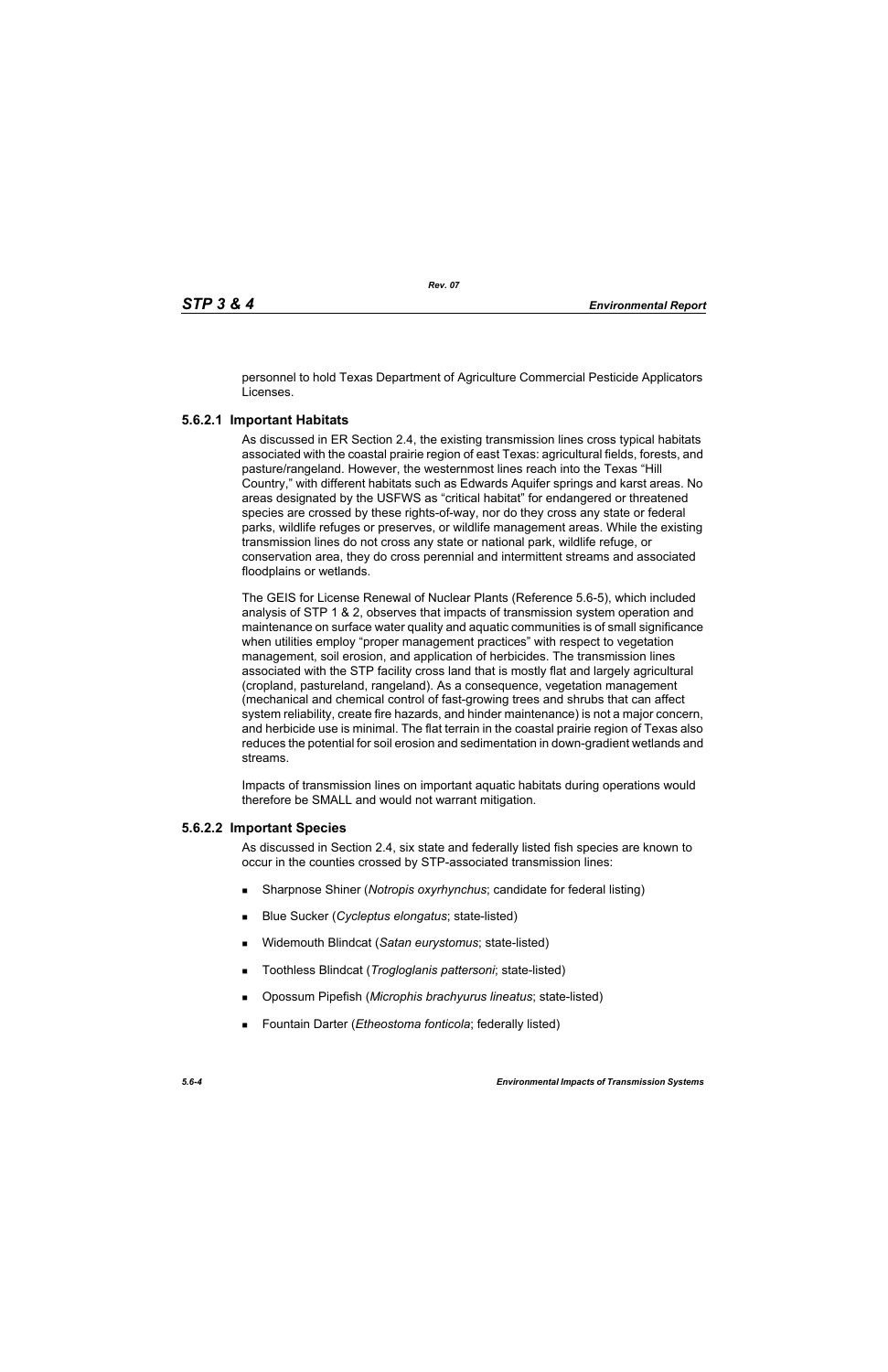personnel to hold Texas Department of Agriculture Commercial Pesticide Applicators Licenses.

# **5.6.2.1 Important Habitats**

As discussed in ER Section 2.4, the existing transmission lines cross typical habitats associated with the coastal prairie region of east Texas: agricultural fields, forests, and pasture/rangeland. However, the westernmost lines reach into the Texas "Hill Country," with different habitats such as Edwards Aquifer springs and karst areas. No areas designated by the USFWS as "critical habitat" for endangered or threatened species are crossed by these rights-of-way, nor do they cross any state or federal parks, wildlife refuges or preserves, or wildlife management areas. While the existing transmission lines do not cross any state or national park, wildlife refuge, or conservation area, they do cross perennial and intermittent streams and associated floodplains or wetlands.

The GEIS for License Renewal of Nuclear Plants (Reference 5.6-5), which included analysis of STP 1 & 2, observes that impacts of transmission system operation and maintenance on surface water quality and aquatic communities is of small significance when utilities employ "proper management practices" with respect to vegetation management, soil erosion, and application of herbicides. The transmission lines associated with the STP facility cross land that is mostly flat and largely agricultural (cropland, pastureland, rangeland). As a consequence, vegetation management (mechanical and chemical control of fast-growing trees and shrubs that can affect system reliability, create fire hazards, and hinder maintenance) is not a major concern, and herbicide use is minimal. The flat terrain in the coastal prairie region of Texas also reduces the potential for soil erosion and sedimentation in down-gradient wetlands and streams.

Impacts of transmission lines on important aquatic habitats during operations would therefore be SMALL and would not warrant mitigation.

## **5.6.2.2 Important Species**

As discussed in Section 2.4, six state and federally listed fish species are known to occur in the counties crossed by STP-associated transmission lines:

- Sharpnose Shiner (*Notropis oxyrhynchus*; candidate for federal listing)
- Blue Sucker (*Cycleptus elongatus*; state-listed)
- Widemouth Blindcat (*Satan eurystomus*; state-listed)
- Toothless Blindcat (*Trogloglanis pattersoni*; state-listed)
- Opossum Pipefish (*Microphis brachyurus lineatus*; state-listed)
- Fountain Darter (*Etheostoma fonticola*; federally listed)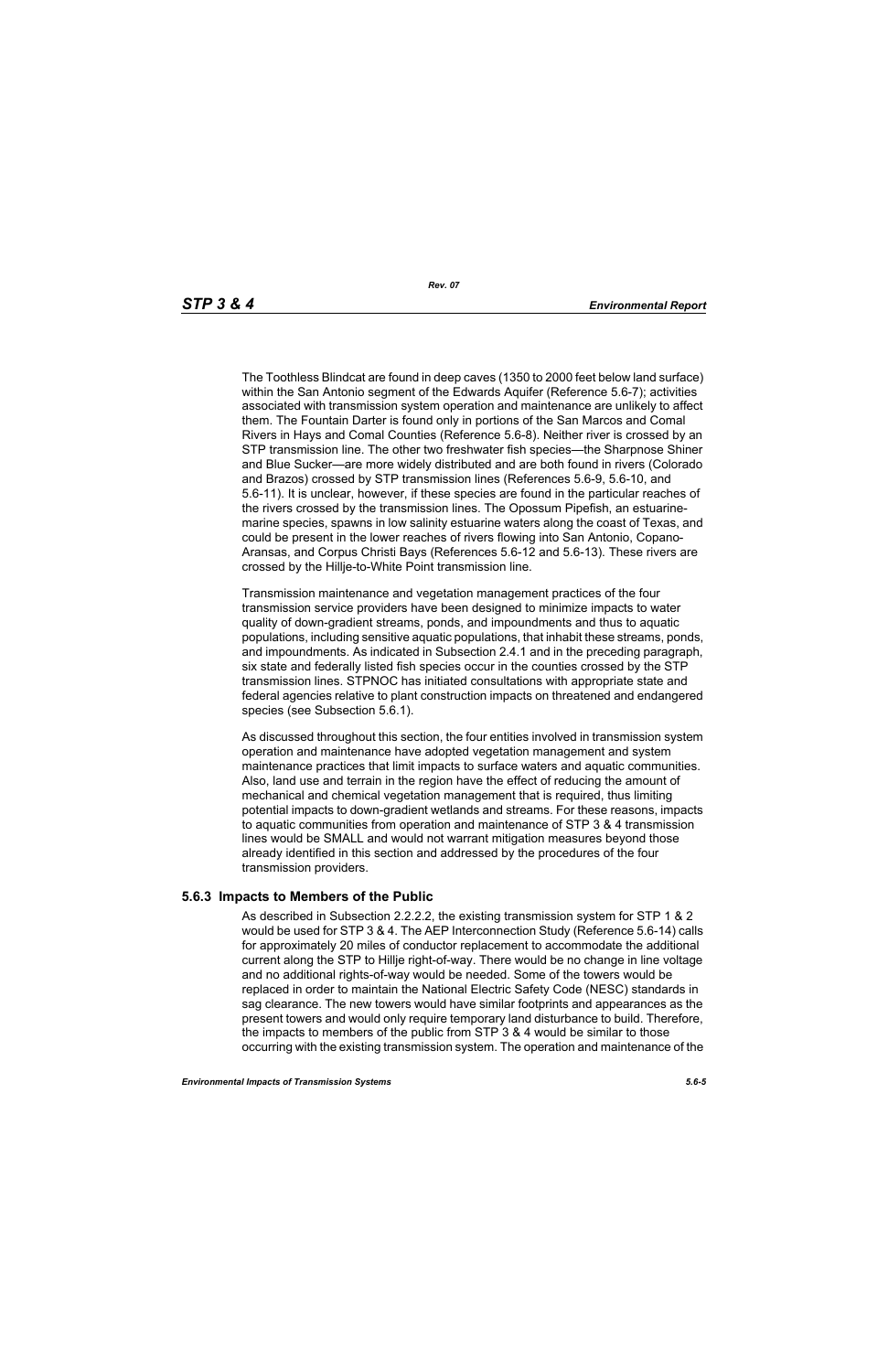The Toothless Blindcat are found in deep caves (1350 to 2000 feet below land surface) within the San Antonio segment of the Edwards Aquifer (Reference 5.6-7); activities associated with transmission system operation and maintenance are unlikely to affect them. The Fountain Darter is found only in portions of the San Marcos and Comal Rivers in Hays and Comal Counties (Reference 5.6-8). Neither river is crossed by an STP transmission line. The other two freshwater fish species—the Sharpnose Shiner and Blue Sucker—are more widely distributed and are both found in rivers (Colorado and Brazos) crossed by STP transmission lines (References 5.6-9, 5.6-10, and 5.6-11). It is unclear, however, if these species are found in the particular reaches of the rivers crossed by the transmission lines. The Opossum Pipefish, an estuarinemarine species, spawns in low salinity estuarine waters along the coast of Texas, and could be present in the lower reaches of rivers flowing into San Antonio, Copano-Aransas, and Corpus Christi Bays (References 5.6-12 and 5.6-13). These rivers are crossed by the Hillje-to-White Point transmission line.

Transmission maintenance and vegetation management practices of the four transmission service providers have been designed to minimize impacts to water quality of down-gradient streams, ponds, and impoundments and thus to aquatic populations, including sensitive aquatic populations, that inhabit these streams, ponds, and impoundments. As indicated in Subsection 2.4.1 and in the preceding paragraph, six state and federally listed fish species occur in the counties crossed by the STP transmission lines. STPNOC has initiated consultations with appropriate state and federal agencies relative to plant construction impacts on threatened and endangered species (see Subsection 5.6.1).

As discussed throughout this section, the four entities involved in transmission system operation and maintenance have adopted vegetation management and system maintenance practices that limit impacts to surface waters and aquatic communities. Also, land use and terrain in the region have the effect of reducing the amount of mechanical and chemical vegetation management that is required, thus limiting potential impacts to down-gradient wetlands and streams. For these reasons, impacts to aquatic communities from operation and maintenance of STP 3 & 4 transmission lines would be SMALL and would not warrant mitigation measures beyond those already identified in this section and addressed by the procedures of the four transmission providers.

#### **5.6.3 Impacts to Members of the Public**

As described in Subsection 2.2.2.2, the existing transmission system for STP 1 & 2 would be used for STP 3 & 4. The AEP Interconnection Study (Reference 5.6-14) calls for approximately 20 miles of conductor replacement to accommodate the additional current along the STP to Hillje right-of-way. There would be no change in line voltage and no additional rights-of-way would be needed. Some of the towers would be replaced in order to maintain the National Electric Safety Code (NESC) standards in sag clearance. The new towers would have similar footprints and appearances as the present towers and would only require temporary land disturbance to build. Therefore, the impacts to members of the public from STP 3 & 4 would be similar to those occurring with the existing transmission system. The operation and maintenance of the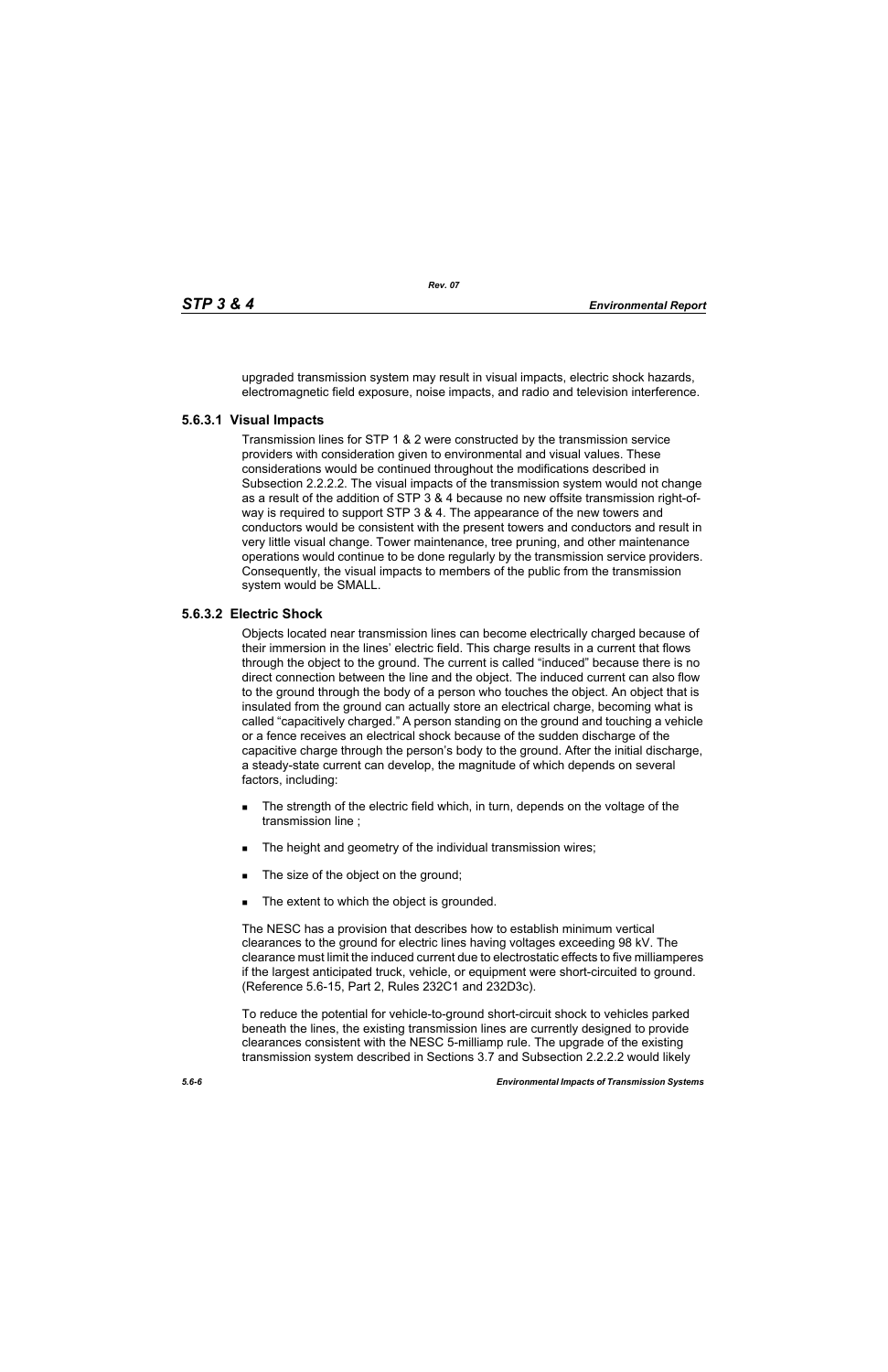upgraded transmission system may result in visual impacts, electric shock hazards, electromagnetic field exposure, noise impacts, and radio and television interference.

#### **5.6.3.1 Visual Impacts**

Transmission lines for STP 1 & 2 were constructed by the transmission service providers with consideration given to environmental and visual values. These considerations would be continued throughout the modifications described in Subsection 2.2.2.2. The visual impacts of the transmission system would not change as a result of the addition of STP 3 & 4 because no new offsite transmission right-ofway is required to support STP 3 & 4. The appearance of the new towers and conductors would be consistent with the present towers and conductors and result in very little visual change. Tower maintenance, tree pruning, and other maintenance operations would continue to be done regularly by the transmission service providers. Consequently, the visual impacts to members of the public from the transmission system would be SMALL.

## **5.6.3.2 Electric Shock**

Objects located near transmission lines can become electrically charged because of their immersion in the lines' electric field. This charge results in a current that flows through the object to the ground. The current is called "induced" because there is no direct connection between the line and the object. The induced current can also flow to the ground through the body of a person who touches the object. An object that is insulated from the ground can actually store an electrical charge, becoming what is called "capacitively charged." A person standing on the ground and touching a vehicle or a fence receives an electrical shock because of the sudden discharge of the capacitive charge through the person's body to the ground. After the initial discharge, a steady-state current can develop, the magnitude of which depends on several factors, including:

- The strength of the electric field which, in turn, depends on the voltage of the transmission line ;
- The height and geometry of the individual transmission wires;
- The size of the object on the ground;
- The extent to which the object is grounded.

The NESC has a provision that describes how to establish minimum vertical clearances to the ground for electric lines having voltages exceeding 98 kV. The clearance must limit the induced current due to electrostatic effects to five milliamperes if the largest anticipated truck, vehicle, or equipment were short-circuited to ground. (Reference 5.6-15, Part 2, Rules 232C1 and 232D3c).

To reduce the potential for vehicle-to-ground short-circuit shock to vehicles parked beneath the lines, the existing transmission lines are currently designed to provide clearances consistent with the NESC 5-milliamp rule. The upgrade of the existing transmission system described in Sections 3.7 and Subsection 2.2.2.2 would likely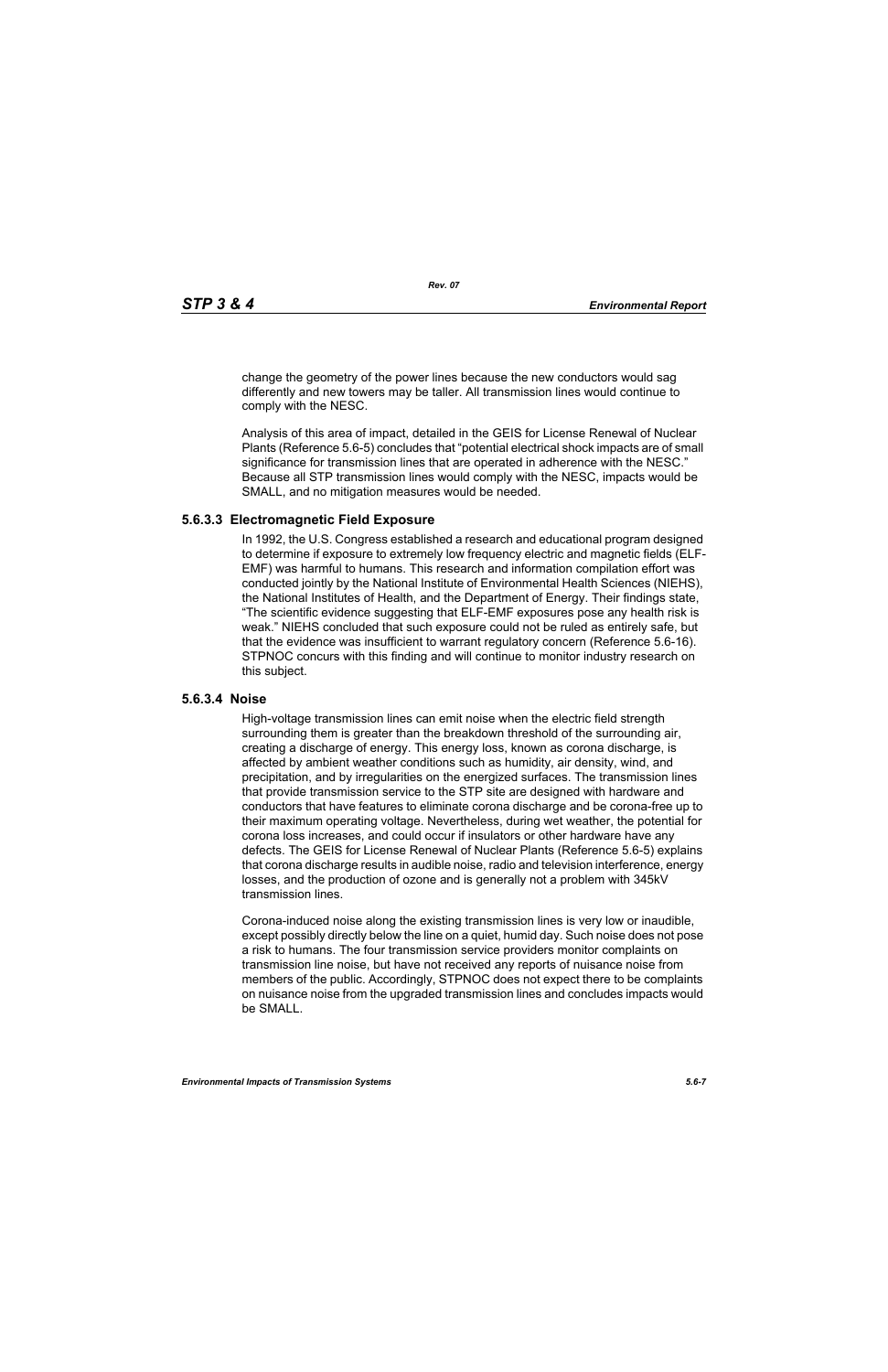change the geometry of the power lines because the new conductors would sag differently and new towers may be taller. All transmission lines would continue to comply with the NESC.

Analysis of this area of impact, detailed in the GEIS for License Renewal of Nuclear Plants (Reference 5.6-5) concludes that "potential electrical shock impacts are of small significance for transmission lines that are operated in adherence with the NESC." Because all STP transmission lines would comply with the NESC, impacts would be SMALL, and no mitigation measures would be needed.

#### **5.6.3.3 Electromagnetic Field Exposure**

In 1992, the U.S. Congress established a research and educational program designed to determine if exposure to extremely low frequency electric and magnetic fields (ELF-EMF) was harmful to humans. This research and information compilation effort was conducted jointly by the National Institute of Environmental Health Sciences (NIEHS), the National Institutes of Health, and the Department of Energy. Their findings state, "The scientific evidence suggesting that ELF-EMF exposures pose any health risk is weak." NIEHS concluded that such exposure could not be ruled as entirely safe, but that the evidence was insufficient to warrant regulatory concern (Reference 5.6-16). STPNOC concurs with this finding and will continue to monitor industry research on this subject.

#### **5.6.3.4 Noise**

High-voltage transmission lines can emit noise when the electric field strength surrounding them is greater than the breakdown threshold of the surrounding air, creating a discharge of energy. This energy loss, known as corona discharge, is affected by ambient weather conditions such as humidity, air density, wind, and precipitation, and by irregularities on the energized surfaces. The transmission lines that provide transmission service to the STP site are designed with hardware and conductors that have features to eliminate corona discharge and be corona-free up to their maximum operating voltage. Nevertheless, during wet weather, the potential for corona loss increases, and could occur if insulators or other hardware have any defects. The GEIS for License Renewal of Nuclear Plants (Reference 5.6-5) explains that corona discharge results in audible noise, radio and television interference, energy losses, and the production of ozone and is generally not a problem with 345kV transmission lines.

Corona-induced noise along the existing transmission lines is very low or inaudible, except possibly directly below the line on a quiet, humid day. Such noise does not pose a risk to humans. The four transmission service providers monitor complaints on transmission line noise, but have not received any reports of nuisance noise from members of the public. Accordingly, STPNOC does not expect there to be complaints on nuisance noise from the upgraded transmission lines and concludes impacts would be SMALL.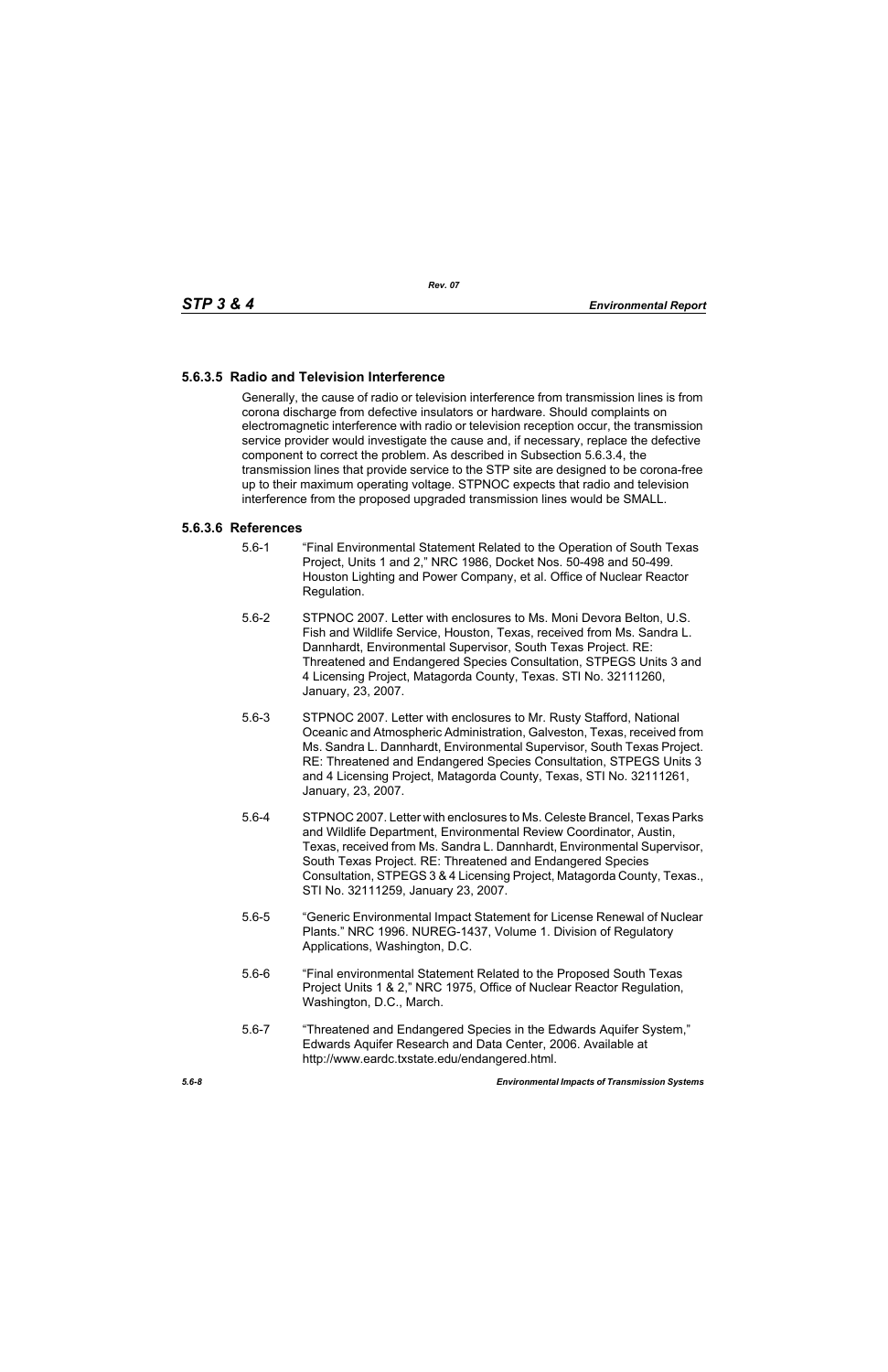# **5.6.3.5 Radio and Television Interference**

Generally, the cause of radio or television interference from transmission lines is from corona discharge from defective insulators or hardware. Should complaints on electromagnetic interference with radio or television reception occur, the transmission service provider would investigate the cause and, if necessary, replace the defective component to correct the problem. As described in Subsection 5.6.3.4, the transmission lines that provide service to the STP site are designed to be corona-free up to their maximum operating voltage. STPNOC expects that radio and television interference from the proposed upgraded transmission lines would be SMALL.

#### **5.6.3.6 References**

- 5.6-1 "Final Environmental Statement Related to the Operation of South Texas Project, Units 1 and 2," NRC 1986, Docket Nos. 50-498 and 50-499. Houston Lighting and Power Company, et al. Office of Nuclear Reactor Regulation.
- 5.6-2 STPNOC 2007. Letter with enclosures to Ms. Moni Devora Belton, U.S. Fish and Wildlife Service, Houston, Texas, received from Ms. Sandra L. Dannhardt, Environmental Supervisor, South Texas Project. RE: Threatened and Endangered Species Consultation, STPEGS Units 3 and 4 Licensing Project, Matagorda County, Texas. STI No. 32111260, January, 23, 2007.
- 5.6-3 STPNOC 2007. Letter with enclosures to Mr. Rusty Stafford, National Oceanic and Atmospheric Administration, Galveston, Texas, received from Ms. Sandra L. Dannhardt, Environmental Supervisor, South Texas Project. RE: Threatened and Endangered Species Consultation, STPEGS Units 3 and 4 Licensing Project, Matagorda County, Texas, STI No. 32111261, January, 23, 2007.
- 5.6-4 STPNOC 2007. Letter with enclosures to Ms. Celeste Brancel, Texas Parks and Wildlife Department, Environmental Review Coordinator, Austin, Texas, received from Ms. Sandra L. Dannhardt, Environmental Supervisor, South Texas Project. RE: Threatened and Endangered Species Consultation, STPEGS 3 & 4 Licensing Project, Matagorda County, Texas., STI No. 32111259, January 23, 2007.
- 5.6-5 "Generic Environmental Impact Statement for License Renewal of Nuclear Plants." NRC 1996. NUREG-1437, Volume 1. Division of Regulatory Applications, Washington, D.C.
- 5.6-6 "Final environmental Statement Related to the Proposed South Texas Project Units 1 & 2," NRC 1975, Office of Nuclear Reactor Regulation, Washington, D.C., March.
- 5.6-7 "Threatened and Endangered Species in the Edwards Aquifer System," Edwards Aquifer Research and Data Center, 2006. Available at http://www.eardc.txstate.edu/endangered.html.